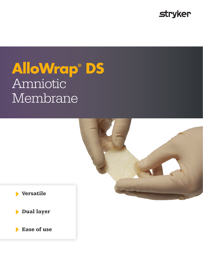

# **AlloWrap® DS** Amniotic Membrane



Dual layer

**Ease of use**